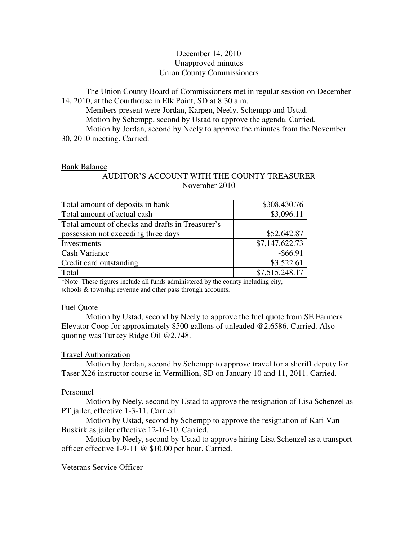# December 14, 2010 Unapproved minutes Union County Commissioners

The Union County Board of Commissioners met in regular session on December 14, 2010, at the Courthouse in Elk Point, SD at 8:30 a.m.

 Members present were Jordan, Karpen, Neely, Schempp and Ustad. Motion by Schempp, second by Ustad to approve the agenda. Carried. Motion by Jordan, second by Neely to approve the minutes from the November 30, 2010 meeting. Carried.

## Bank Balance

## AUDITOR'S ACCOUNT WITH THE COUNTY TREASURER November 2010

| Total amount of deposits in bank                 | \$308,430.76   |
|--------------------------------------------------|----------------|
| Total amount of actual cash                      | \$3,096.11     |
| Total amount of checks and drafts in Treasurer's |                |
| possession not exceeding three days              | \$52,642.87    |
| Investments                                      | \$7,147,622.73 |
| <b>Cash Variance</b>                             | $-$ \$66.91    |
| Credit card outstanding                          | \$3,522.61     |
| Total                                            | \$7,515,248.17 |

\*Note: These figures include all funds administered by the county including city, schools & township revenue and other pass through accounts.

## Fuel Quote

 Motion by Ustad, second by Neely to approve the fuel quote from SE Farmers Elevator Coop for approximately 8500 gallons of unleaded @2.6586. Carried. Also quoting was Turkey Ridge Oil @2.748.

# Travel Authorization

 Motion by Jordan, second by Schempp to approve travel for a sheriff deputy for Taser X26 instructor course in Vermillion, SD on January 10 and 11, 2011. Carried.

# Personnel

 Motion by Neely, second by Ustad to approve the resignation of Lisa Schenzel as PT jailer, effective 1-3-11. Carried.

 Motion by Ustad, second by Schempp to approve the resignation of Kari Van Buskirk as jailer effective 12-16-10. Carried.

 Motion by Neely, second by Ustad to approve hiring Lisa Schenzel as a transport officer effective 1-9-11 @ \$10.00 per hour. Carried.

# Veterans Service Officer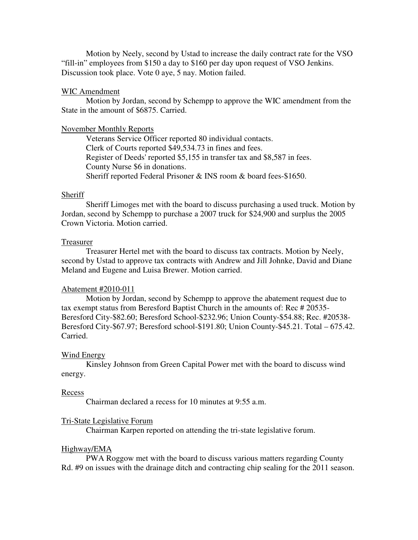Motion by Neely, second by Ustad to increase the daily contract rate for the VSO "fill-in" employees from \$150 a day to \$160 per day upon request of VSO Jenkins. Discussion took place. Vote 0 aye, 5 nay. Motion failed.

## WIC Amendment

 Motion by Jordan, second by Schempp to approve the WIC amendment from the State in the amount of \$6875. Carried.

#### November Monthly Reports

 Veterans Service Officer reported 80 individual contacts. Clerk of Courts reported \$49,534.73 in fines and fees. Register of Deeds' reported \$5,155 in transfer tax and \$8,587 in fees. County Nurse \$6 in donations. Sheriff reported Federal Prisoner & INS room & board fees-\$1650.

## Sheriff

 Sheriff Limoges met with the board to discuss purchasing a used truck. Motion by Jordan, second by Schempp to purchase a 2007 truck for \$24,900 and surplus the 2005 Crown Victoria. Motion carried.

#### Treasurer

 Treasurer Hertel met with the board to discuss tax contracts. Motion by Neely, second by Ustad to approve tax contracts with Andrew and Jill Johnke, David and Diane Meland and Eugene and Luisa Brewer. Motion carried.

## Abatement #2010-011

 Motion by Jordan, second by Schempp to approve the abatement request due to tax exempt status from Beresford Baptist Church in the amounts of: Rec # 20535- Beresford City-\$82.60; Beresford School-\$232.96; Union County-\$54.88; Rec. #20538- Beresford City-\$67.97; Beresford school-\$191.80; Union County-\$45.21. Total – 675.42. Carried.

#### Wind Energy

 Kinsley Johnson from Green Capital Power met with the board to discuss wind energy.

#### Recess

Chairman declared a recess for 10 minutes at 9:55 a.m.

### Tri-State Legislative Forum

Chairman Karpen reported on attending the tri-state legislative forum.

#### Highway/EMA

 PWA Roggow met with the board to discuss various matters regarding County Rd. #9 on issues with the drainage ditch and contracting chip sealing for the 2011 season.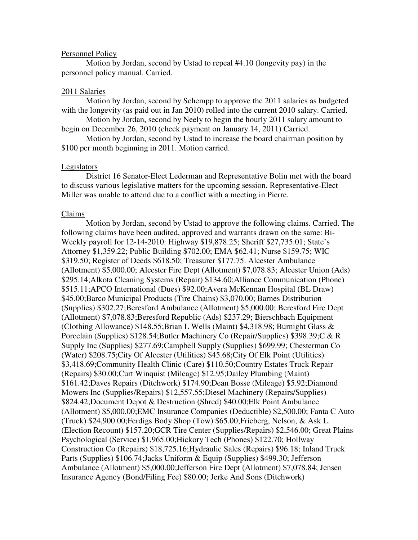#### Personnel Policy

 Motion by Jordan, second by Ustad to repeal #4.10 (longevity pay) in the personnel policy manual. Carried.

#### 2011 Salaries

 Motion by Jordan, second by Schempp to approve the 2011 salaries as budgeted with the longevity (as paid out in Jan 2010) rolled into the current 2010 salary. Carried.

 Motion by Jordan, second by Neely to begin the hourly 2011 salary amount to begin on December 26, 2010 (check payment on January 14, 2011) Carried.

 Motion by Jordan, second by Ustad to increase the board chairman position by \$100 per month beginning in 2011. Motion carried.

#### Legislators

 District 16 Senator-Elect Lederman and Representative Bolin met with the board to discuss various legislative matters for the upcoming session. Representative-Elect Miller was unable to attend due to a conflict with a meeting in Pierre.

### Claims

 Motion by Jordan, second by Ustad to approve the following claims. Carried. The following claims have been audited, approved and warrants drawn on the same: Bi-Weekly payroll for 12-14-2010: Highway \$19,878.25; Sheriff \$27,735.01; State's Attorney \$1,359.22; Public Building \$702.00; EMA \$62.41; Nurse \$159.75; WIC \$319.50; Register of Deeds \$618.50; Treasurer \$177.75. Alcester Ambulance (Allotment) \$5,000.00; Alcester Fire Dept (Allotment) \$7,078.83; Alcester Union (Ads) \$295.14;Alkota Cleaning Systems (Repair) \$134.60;Alliance Communication (Phone) \$515.11;APCO International (Dues) \$92.00;Avera McKennan Hospital (BL Draw) \$45.00;Barco Municipal Products (Tire Chains) \$3,070.00; Barnes Distribution (Supplies) \$302.27;Beresford Ambulance (Allotment) \$5,000.00; Beresford Fire Dept (Allotment) \$7,078.83;Beresford Republic (Ads) \$237.29; Bierschbach Equipment (Clothing Allowance) \$148.55;Brian L Wells (Maint) \$4,318.98; Burnight Glass & Porcelain (Supplies) \$128.54;Butler Machinery Co (Repair/Supplies) \$398.39;C & R Supply Inc (Supplies) \$277.69;Campbell Supply (Supplies) \$699.99; Chesterman Co (Water) \$208.75;City Of Alcester (Utilities) \$45.68;City Of Elk Point (Utilities) \$3,418.69;Community Health Clinic (Care) \$110.50;Country Estates Truck Repair (Repairs) \$30.00;Curt Winquist (Mileage) \$12.95;Dailey Plumbing (Maint) \$161.42;Daves Repairs (Ditchwork) \$174.90;Dean Bosse (Mileage) \$5.92;Diamond Mowers Inc (Supplies/Repairs) \$12,557.55;Diesel Machinery (Repairs/Supplies) \$824.42;Document Depot & Destruction (Shred) \$40.00;Elk Point Ambulance (Allotment) \$5,000.00;EMC Insurance Companies (Deductible) \$2,500.00; Fanta C Auto (Truck) \$24,900.00;Ferdigs Body Shop (Tow) \$65.00;Frieberg, Nelson, & Ask L. (Election Recount) \$157.20;GCR Tire Center (Supplies/Repairs) \$2,546.00; Great Plains Psychological (Service) \$1,965.00;Hickory Tech (Phones) \$122.70; Hollway Construction Co (Repairs) \$18,725.16;Hydraulic Sales (Repairs) \$96.18; Inland Truck Parts (Supplies) \$106.74;Jacks Uniform & Equip (Supplies) \$499.30; Jefferson Ambulance (Allotment) \$5,000.00;Jefferson Fire Dept (Allotment) \$7,078.84; Jensen Insurance Agency (Bond/Filing Fee) \$80.00; Jerke And Sons (Ditchwork)